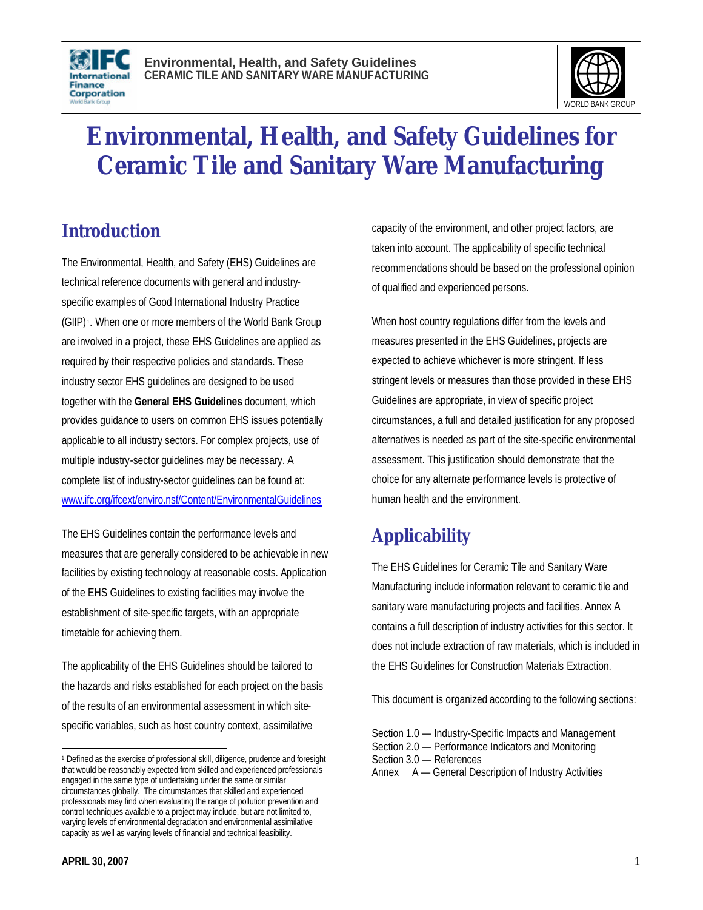



# **Environmental, Health, and Safety Guidelines for Ceramic Tile and Sanitary Ware Manufacturing**

## **Introduction**

The Environmental, Health, and Safety (EHS) Guidelines are technical reference documents with general and industryspecific examples of Good International Industry Practice (GIIP) <sup>1</sup> . When one or more members of the World Bank Group are involved in a project, these EHS Guidelines are applied as required by their respective policies and standards. These industry sector EHS guidelines are designed to be used together with the **General EHS Guidelines** document, which provides guidance to users on common EHS issues potentially applicable to all industry sectors. For complex projects, use of multiple industry-sector guidelines may be necessary. A complete list of industry-sector guidelines can be found at: www.ifc.org/ifcext/enviro.nsf/Content/EnvironmentalGuidelines

The EHS Guidelines contain the performance levels and measures that are generally considered to be achievable in new facilities by existing technology at reasonable costs. Application of the EHS Guidelines to existing facilities may involve the establishment of site-specific targets, with an appropriate timetable for achieving them.

The applicability of the EHS Guidelines should be tailored to the hazards and risks established for each project on the basis of the results of an environmental assessment in which sitespecific variables, such as host country context, assimilative

capacity of the environment, and other project factors, are taken into account. The applicability of specific technical recommendations should be based on the professional opinion of qualified and experienced persons.

When host country regulations differ from the levels and measures presented in the EHS Guidelines, projects are expected to achieve whichever is more stringent. If less stringent levels or measures than those provided in these EHS Guidelines are appropriate, in view of specific project circumstances, a full and detailed justification for any proposed alternatives is needed as part of the site-specific environmental assessment. This justification should demonstrate that the choice for any alternate performance levels is protective of human health and the environment.

## **Applicability**

The EHS Guidelines for Ceramic Tile and Sanitary Ware Manufacturing include information relevant to ceramic tile and sanitary ware manufacturing projects and facilities. Annex A contains a full description of industry activities for this sector. It does not include extraction of raw materials, which is included in the EHS Guidelines for Construction Materials Extraction.

This document is organized according to the following sections:

 $\overline{a}$ <sup>1</sup> Defined as the exercise of professional skill, diligence, prudence and foresight that would be reasonably expected from skilled and experienced professionals engaged in the same type of undertaking under the same or similar circumstances globally. The circumstances that skilled and experienced professionals may find when evaluating the range of pollution prevention and control techniques available to a project may include, but are not limited to, varying levels of environmental degradation and environmental assimilative capacity as well as varying levels of financial and technical feasibility.

Section 1.0 — Industry-Specific Impacts and Management Section 2.0 — Performance Indicators and Monitoring Section 3.0 — References Annex A — General Description of Industry Activities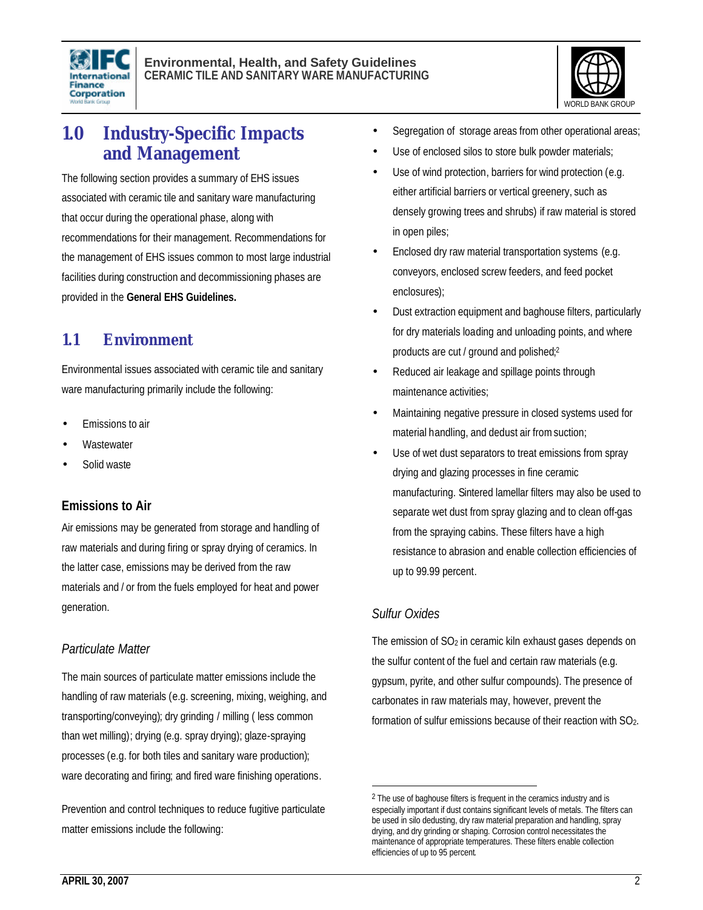



## **1.0 Industry-Specific Impacts and Management**

The following section provides a summary of EHS issues associated with ceramic tile and sanitary ware manufacturing that occur during the operational phase, along with recommendations for their management. Recommendations for the management of EHS issues common to most large industrial facilities during construction and decommissioning phases are provided in the **General EHS Guidelines.**

## **1.1 Environment**

Environmental issues associated with ceramic tile and sanitary ware manufacturing primarily include the following:

- Emissions to air
- **Wastewater**
- Solid waste

#### **Emissions to Air**

Air emissions may be generated from storage and handling of raw materials and during firing or spray drying of ceramics. In the latter case, emissions may be derived from the raw materials and / or from the fuels employed for heat and power generation.

#### *Particulate Matter*

The main sources of particulate matter emissions include the handling of raw materials (e.g. screening, mixing, weighing, and transporting/conveying); dry grinding / milling ( less common than wet milling); drying (e.g. spray drying); glaze-spraying processes (e.g. for both tiles and sanitary ware production); ware decorating and firing; and fired ware finishing operations.

Prevention and control techniques to reduce fugitive particulate matter emissions include the following:

- Segregation of storage areas from other operational areas;
- Use of enclosed silos to store bulk powder materials;
- Use of wind protection, barriers for wind protection (e.g. either artificial barriers or vertical greenery, such as densely growing trees and shrubs) if raw material is stored in open piles;
- Enclosed dry raw material transportation systems (e.g. conveyors, enclosed screw feeders, and feed pocket enclosures);
- Dust extraction equipment and baghouse filters, particularly for dry materials loading and unloading points, and where products are cut / ground and polished; 2
- Reduced air leakage and spillage points through maintenance activities;
- Maintaining negative pressure in closed systems used for material handling, and dedust air from suction;
- Use of wet dust separators to treat emissions from spray drying and glazing processes in fine ceramic manufacturing. Sintered lamellar filters may also be used to separate wet dust from spray glazing and to clean off-gas from the spraying cabins. These filters have a high resistance to abrasion and enable collection efficiencies of up to 99.99 percent.

#### *Sulfur Oxides*

 $\overline{a}$ 

The emission of SO<sub>2</sub> in ceramic kiln exhaust gases depends on the sulfur content of the fuel and certain raw materials (e.g. gypsum, pyrite, and other sulfur compounds). The presence of carbonates in raw materials may, however, prevent the formation of sulfur emissions because of their reaction with SO<sub>2</sub>.

<sup>&</sup>lt;sup>2</sup> The use of baghouse filters is frequent in the ceramics industry and is especially important if dust contains significant levels of metals. The filters can be used in silo dedusting, dry raw material preparation and handling, spray drying, and dry grinding or shaping. Corrosion control necessitates the maintenance of appropriate temperatures. These filters enable collection efficiencies of up to 95 percent.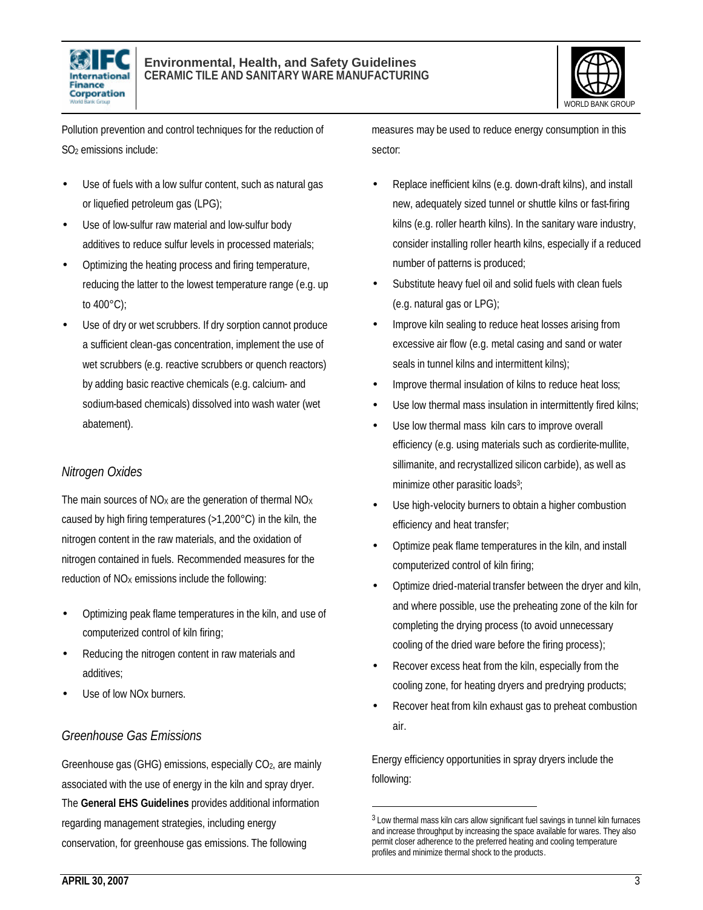



Pollution prevention and control techniques for the reduction of SO2 emissions include:

- Use of fuels with a low sulfur content, such as natural gas or liquefied petroleum gas (LPG);
- Use of low-sulfur raw material and low-sulfur body additives to reduce sulfur levels in processed materials;
- Optimizing the heating process and firing temperature, reducing the latter to the lowest temperature range (e.g. up to 400°C);
- Use of dry or wet scrubbers. If dry sorption cannot produce a sufficient clean-gas concentration, implement the use of wet scrubbers (e.g. reactive scrubbers or quench reactors) by adding basic reactive chemicals (e.g. calcium- and sodium-based chemicals) dissolved into wash water (wet abatement).

#### *Nitrogen Oxides*

The main sources of  $NO<sub>x</sub>$  are the generation of thermal  $NO<sub>x</sub>$ caused by high firing temperatures (>1,200°C) in the kiln, the nitrogen content in the raw materials, and the oxidation of nitrogen contained in fuels. Recommended measures for the reduction of  $NO<sub>x</sub>$  emissions include the following:

- Optimizing peak flame temperatures in the kiln, and use of computerized control of kiln firing;
- Reducing the nitrogen content in raw materials and additives;
- Use of low NO<sub>x</sub> burners.

#### *Greenhouse Gas Emissions*

Greenhouse gas (GHG) emissions, especially CO2, are mainly associated with the use of energy in the kiln and spray dryer. The **General EHS Guidelines** provides additional information regarding management strategies, including energy conservation, for greenhouse gas emissions. The following

measures may be used to reduce energy consumption in this sector:

- Replace inefficient kilns (e.g. down-draft kilns), and install new, adequately sized tunnel or shuttle kilns or fast-firing kilns (e.g. roller hearth kilns). In the sanitary ware industry, consider installing roller hearth kilns, especially if a reduced number of patterns is produced;
- Substitute heavy fuel oil and solid fuels with clean fuels (e.g. natural gas or LPG);
- Improve kiln sealing to reduce heat losses arising from excessive air flow (e.g. metal casing and sand or water seals in tunnel kilns and intermittent kilns);
- Improve thermal insulation of kilns to reduce heat loss;
- Use low thermal mass insulation in intermittently fired kilns;
- Use low thermal mass kiln cars to improve overall efficiency (e.g. using materials such as cordierite-mullite, sillimanite, and recrystallized silicon carbide), as well as minimize other parasitic loads<sup>3</sup>;
- Use high-velocity burners to obtain a higher combustion efficiency and heat transfer;
- Optimize peak flame temperatures in the kiln, and install computerized control of kiln firing;
- Optimize dried-material transfer between the dryer and kiln, and where possible, use the preheating zone of the kiln for completing the drying process (to avoid unnecessary cooling of the dried ware before the firing process);
- Recover excess heat from the kiln, especially from the cooling zone, for heating dryers and predrying products;
- Recover heat from kiln exhaust gas to preheat combustion air.

Energy efficiency opportunities in spray dryers include the following:

1

<sup>&</sup>lt;sup>3</sup> Low thermal mass kiln cars allow significant fuel savings in tunnel kiln furnaces and increase throughput by increasing the space available for wares. They also permit closer adherence to the preferred heating and cooling temperature profiles and minimize thermal shock to the products.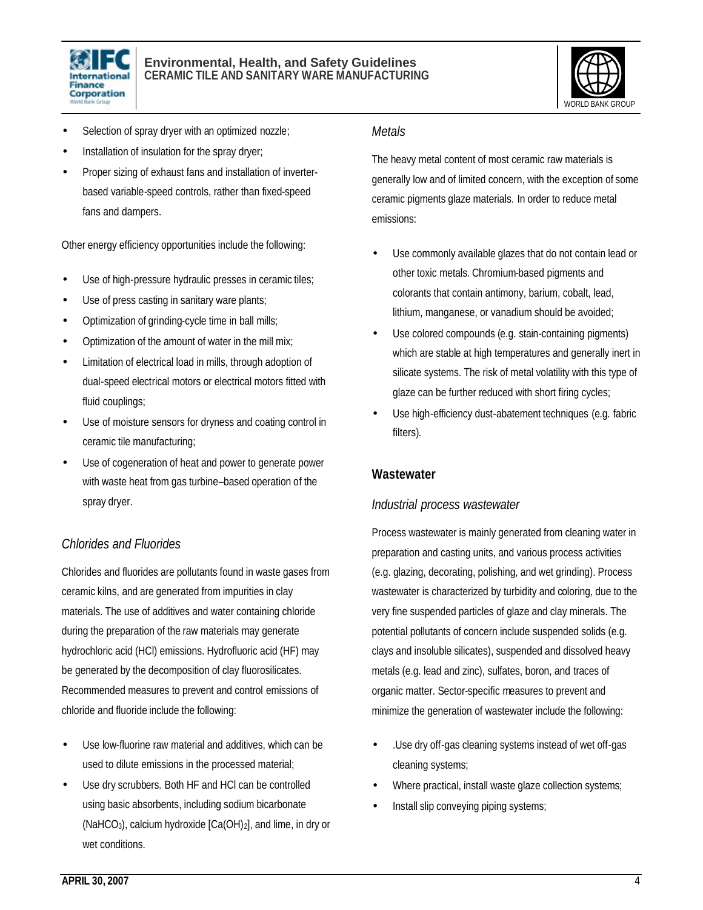



- Selection of spray dryer with an optimized nozzle;
- Installation of insulation for the spray dryer;
- Proper sizing of exhaust fans and installation of inverterbased variable-speed controls, rather than fixed-speed fans and dampers.

Other energy efficiency opportunities include the following:

- Use of high-pressure hydraulic presses in ceramic tiles;
- Use of press casting in sanitary ware plants;
- Optimization of grinding-cycle time in ball mills;
- Optimization of the amount of water in the mill mix;
- Limitation of electrical load in mills, through adoption of dual-speed electrical motors or electrical motors fitted with fluid couplings;
- Use of moisture sensors for dryness and coating control in ceramic tile manufacturing;
- Use of cogeneration of heat and power to generate power with waste heat from gas turbine–based operation of the spray dryer.

#### *Chlorides and Fluorides*

Chlorides and fluorides are pollutants found in waste gases from ceramic kilns, and are generated from impurities in clay materials. The use of additives and water containing chloride during the preparation of the raw materials may generate hydrochloric acid (HCl) emissions. Hydrofluoric acid (HF) may be generated by the decomposition of clay fluorosilicates. Recommended measures to prevent and control emissions of chloride and fluoride include the following:

- Use low-fluorine raw material and additives, which can be used to dilute emissions in the processed material;
- Use dry scrubbers. Both HF and HCI can be controlled using basic absorbents, including sodium bicarbonate (NaHCO<sub>3</sub>), calcium hydroxide  $[Ca(OH)_2]$ , and lime, in dry or wet conditions.

#### *Metals*

The heavy metal content of most ceramic raw materials is generally low and of limited concern, with the exception of some ceramic pigments glaze materials. In order to reduce metal emissions:

- Use commonly available glazes that do not contain lead or other toxic metals. Chromium-based pigments and colorants that contain antimony, barium, cobalt, lead, lithium, manganese, or vanadium should be avoided;
- Use colored compounds (e.g. stain-containing pigments) which are stable at high temperatures and generally inert in silicate systems. The risk of metal volatility with this type of glaze can be further reduced with short firing cycles;
- Use high-efficiency dust-abatement techniques (e.g. fabric filters).

#### **Wastewater**

#### *Industrial process wastewater*

Process wastewater is mainly generated from cleaning water in preparation and casting units, and various process activities (e.g. glazing, decorating, polishing, and wet grinding). Process wastewater is characterized by turbidity and coloring, due to the very fine suspended particles of glaze and clay minerals. The potential pollutants of concern include suspended solids (e.g. clays and insoluble silicates), suspended and dissolved heavy metals (e.g. lead and zinc), sulfates, boron, and traces of organic matter. Sector-specific measures to prevent and minimize the generation of wastewater include the following:

- .Use dry off-gas cleaning systems instead of wet off-gas cleaning systems;
- Where practical, install waste glaze collection systems;
- Install slip conveying piping systems;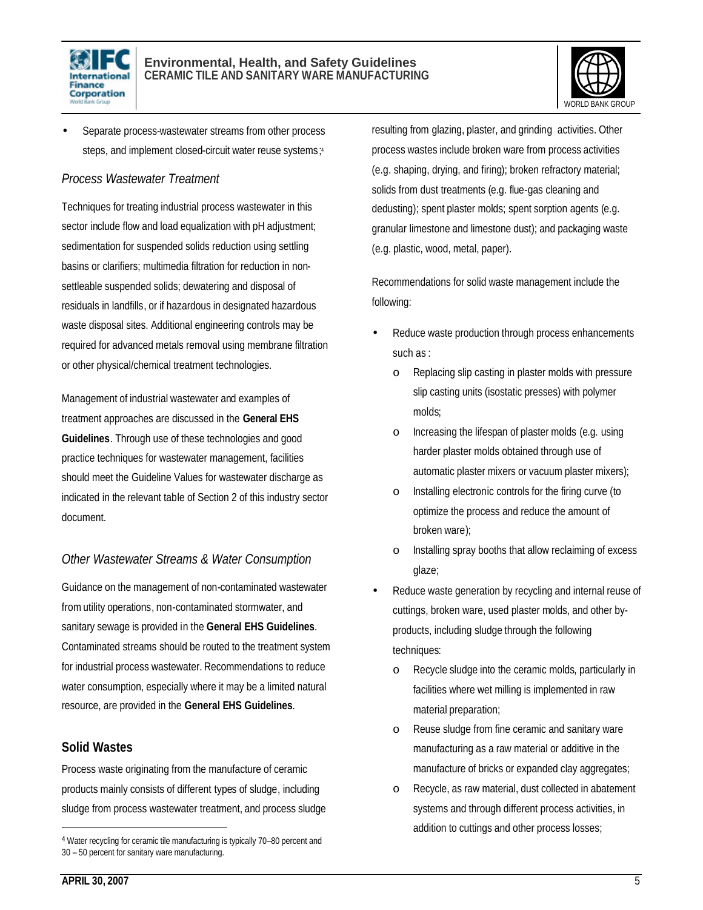



Separate process-wastewater streams from other process steps, and implement closed-circuit water reuse systems; 4

#### *Process Wastewater Treatment*

Techniques for treating industrial process wastewater in this sector include flow and load equalization with pH adjustment; sedimentation for suspended solids reduction using settling basins or clarifiers; multimedia filtration for reduction in nonsettleable suspended solids; dewatering and disposal of residuals in landfills, or if hazardous in designated hazardous waste disposal sites. Additional engineering controls may be required for advanced metals removal using membrane filtration or other physical/chemical treatment technologies.

Management of industrial wastewater and examples of treatment approaches are discussed in the **General EHS Guidelines**. Through use of these technologies and good practice techniques for wastewater management, facilities should meet the Guideline Values for wastewater discharge as indicated in the relevant table of Section 2 of this industry sector document.

#### *Other Wastewater Streams & Water Consumption*

Guidance on the management of non-contaminated wastewater from utility operations, non-contaminated stormwater, and sanitary sewage is provided in the **General EHS Guidelines**. Contaminated streams should be routed to the treatment system for industrial process wastewater. Recommendations to reduce water consumption, especially where it may be a limited natural resource, are provided in the **General EHS Guidelines**.

#### **Solid Wastes**

Process waste originating from the manufacture of ceramic products mainly consists of different types of sludge, including sludge from process wastewater treatment, and process sludge resulting from glazing, plaster, and grinding activities. Other process wastes include broken ware from process activities (e.g. shaping, drying, and firing); broken refractory material; solids from dust treatments (e.g. flue-gas cleaning and dedusting); spent plaster molds; spent sorption agents (e.g. granular limestone and limestone dust); and packaging waste (e.g. plastic, wood, metal, paper).

Recommendations for solid waste management include the following:

- Reduce waste production through process enhancements such as :
	- o Replacing slip casting in plaster molds with pressure slip casting units (isostatic presses) with polymer molds;
	- o Increasing the lifespan of plaster molds (e.g. using harder plaster molds obtained through use of automatic plaster mixers or vacuum plaster mixers);
	- o Installing electronic controls for the firing curve (to optimize the process and reduce the amount of broken ware);
	- o Installing spray booths that allow reclaiming of excess glaze;
- Reduce waste generation by recycling and internal reuse of cuttings, broken ware, used plaster molds, and other byproducts, including sludge through the following techniques:
	- o Recycle sludge into the ceramic molds, particularly in facilities where wet milling is implemented in raw material preparation;
	- o Reuse sludge from fine ceramic and sanitary ware manufacturing as a raw material or additive in the manufacture of bricks or expanded clay aggregates;
	- o Recycle, as raw material, dust collected in abatement systems and through different process activities, in addition to cuttings and other process losses;

l

<sup>4</sup> Water recycling for ceramic tile manufacturing is typically 70-80 percent and 30 – 50 percent for sanitary ware manufacturing.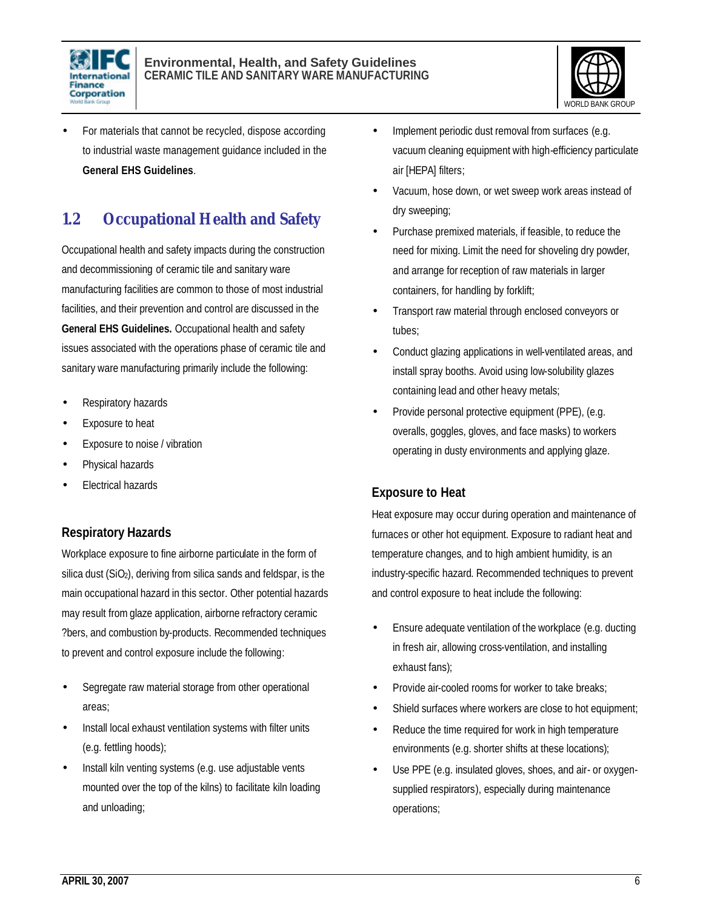



• For materials that cannot be recycled, dispose according to industrial waste management guidance included in the **General EHS Guidelines**.

## **1.2 Occupational Health and Safety**

Occupational health and safety impacts during the construction and decommissioning of ceramic tile and sanitary ware manufacturing facilities are common to those of most industrial facilities, and their prevention and control are discussed in the **General EHS Guidelines.** Occupational health and safety issues associated with the operations phase of ceramic tile and sanitary ware manufacturing primarily include the following:

- Respiratory hazards
- Exposure to heat
- Exposure to noise / vibration
- Physical hazards
- Electrical hazards

#### **Respiratory Hazards**

Workplace exposure to fine airborne particulate in the form of silica dust (SiO<sub>2</sub>), deriving from silica sands and feldspar, is the main occupational hazard in this sector. Other potential hazards may result from glaze application, airborne refractory ceramic ?bers, and combustion by-products. Recommended techniques to prevent and control exposure include the following:

- Segregate raw material storage from other operational areas;
- Install local exhaust ventilation systems with filter units (e.g. fettling hoods);
- Install kiln venting systems (e.g. use adjustable vents mounted over the top of the kilns) to facilitate kiln loading and unloading;
- Implement periodic dust removal from surfaces (e.g. vacuum cleaning equipment with high-efficiency particulate air [HEPA] filters;
- Vacuum, hose down, or wet sweep work areas instead of dry sweeping;
- Purchase premixed materials, if feasible, to reduce the need for mixing. Limit the need for shoveling dry powder, and arrange for reception of raw materials in larger containers, for handling by forklift;
- Transport raw material through enclosed conveyors or tubes;
- Conduct glazing applications in well-ventilated areas, and install spray booths. Avoid using low-solubility glazes containing lead and other heavy metals;
- Provide personal protective equipment (PPE), (e.g. overalls, goggles, gloves, and face masks) to workers operating in dusty environments and applying glaze.

#### **Exposure to Heat**

Heat exposure may occur during operation and maintenance of furnaces or other hot equipment. Exposure to radiant heat and temperature changes, and to high ambient humidity, is an industry-specific hazard. Recommended techniques to prevent and control exposure to heat include the following:

- Ensure adequate ventilation of the workplace (e.g. ducting in fresh air, allowing cross-ventilation, and installing exhaust fans);
- Provide air-cooled rooms for worker to take breaks;
- Shield surfaces where workers are close to hot equipment;
- Reduce the time required for work in high temperature environments (e.g. shorter shifts at these locations);
- Use PPE (e.g. insulated gloves, shoes, and air- or oxygensupplied respirators), especially during maintenance operations;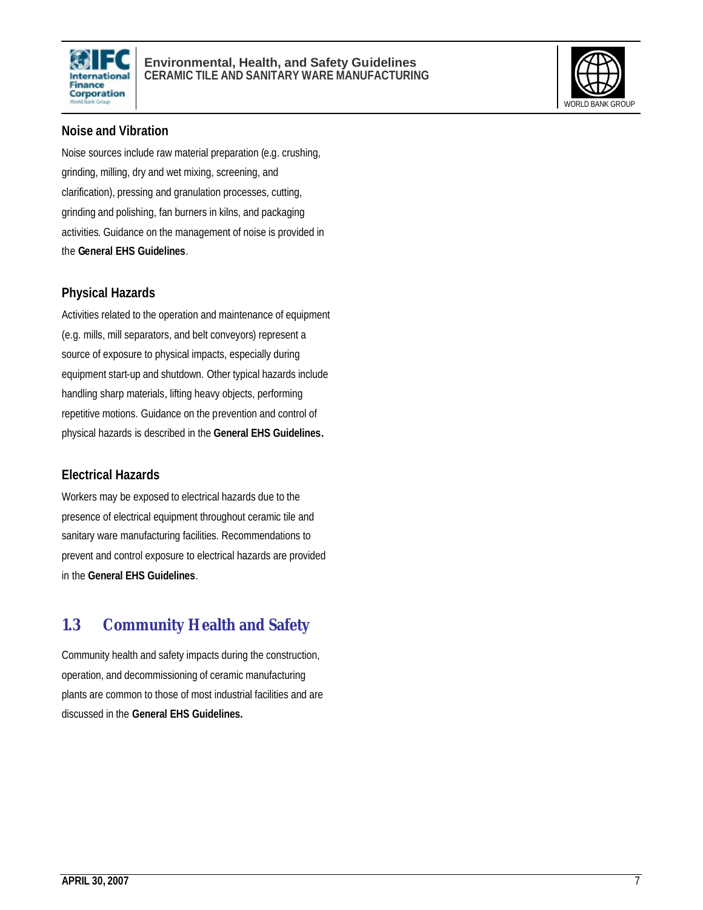



#### **Noise and Vibration**

Noise sources include raw material preparation (e.g. crushing, grinding, milling, dry and wet mixing, screening, and clarification), pressing and granulation processes, cutting, grinding and polishing, fan burners in kilns, and packaging activities. Guidance on the management of noise is provided in the **General EHS Guidelines**.

#### **Physical Hazards**

Activities related to the operation and maintenance of equipment (e.g. mills, mill separators, and belt conveyors) represent a source of exposure to physical impacts, especially during equipment start-up and shutdown. Other typical hazards include handling sharp materials, lifting heavy objects, performing repetitive motions. Guidance on the prevention and control of physical hazards is described in the **General EHS Guidelines.**

#### **Electrical Hazards**

Workers may be exposed to electrical hazards due to the presence of electrical equipment throughout ceramic tile and sanitary ware manufacturing facilities. Recommendations to prevent and control exposure to electrical hazards are provided in the **General EHS Guidelines**.

## **1.3 Community Health and Safety**

Community health and safety impacts during the construction, operation, and decommissioning of ceramic manufacturing plants are common to those of most industrial facilities and are discussed in the **General EHS Guidelines.**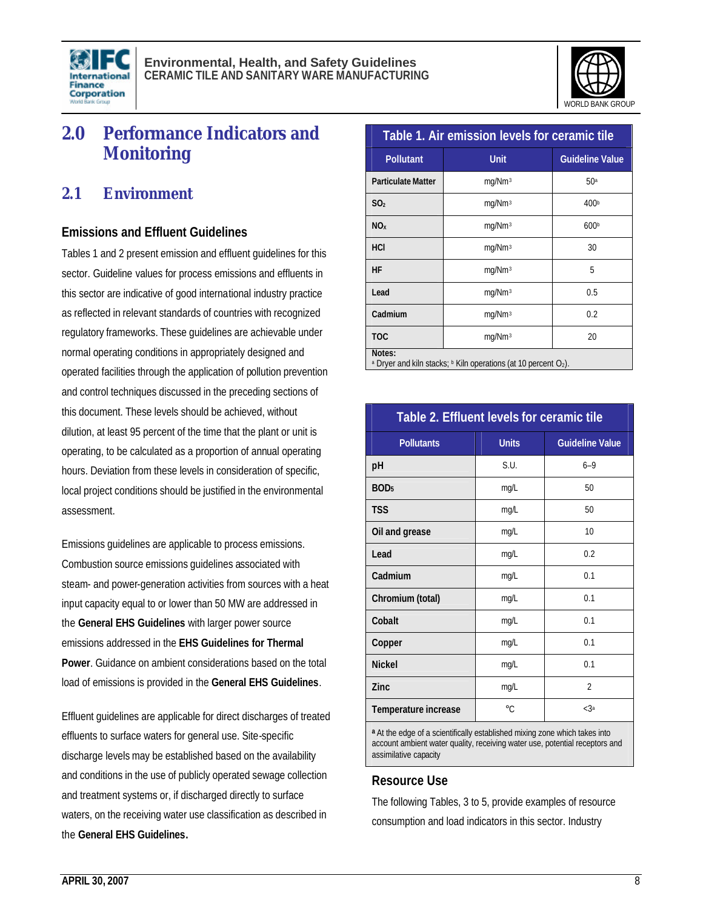



## **2.0 Performance Indicators and Monitoring**

### **2.1 Environment**

#### **Emissions and Effluent Guidelines**

Tables 1 and 2 present emission and effluent guidelines for this sector. Guideline values for process emissions and effluents in this sector are indicative of good international industry practice as reflected in relevant standards of countries with recognized regulatory frameworks. These guidelines are achievable under normal operating conditions in appropriately designed and operated facilities through the application of pollution prevention and control techniques discussed in the preceding sections of this document. These levels should be achieved, without dilution, at least 95 percent of the time that the plant or unit is operating, to be calculated as a proportion of annual operating hours. Deviation from these levels in consideration of specific, local project conditions should be justified in the environmental assessment.

Emissions guidelines are applicable to process emissions. Combustion source emissions guidelines associated with steam- and power-generation activities from sources with a heat input capacity equal to or lower than 50 MW are addressed in the **General EHS Guidelines** with larger power source emissions addressed in the **EHS Guidelines for Thermal Power**. Guidance on ambient considerations based on the total load of emissions is provided in the **General EHS Guidelines**.

Effluent guidelines are applicable for direct discharges of treated effluents to surface waters for general use. Site-specific discharge levels may be established based on the availability and conditions in the use of publicly operated sewage collection and treatment systems or, if discharged directly to surface waters, on the receiving water use classification as described in the **General EHS Guidelines.**

| Table 1. Air emission levels for ceramic tile                                                           |                    |                        |  |
|---------------------------------------------------------------------------------------------------------|--------------------|------------------------|--|
| <b>Pollutant</b>                                                                                        | <b>Unit</b>        | <b>Guideline Value</b> |  |
| <b>Particulate Matter</b>                                                                               | mg/Nm <sup>3</sup> | 50 <sup>a</sup>        |  |
| SO <sub>2</sub>                                                                                         | mg/Nm <sup>3</sup> | 400 <sup>b</sup>       |  |
| NO <sub>x</sub>                                                                                         | mg/Nm <sup>3</sup> | 600 <sup>b</sup>       |  |
| HCI                                                                                                     | mg/Nm <sup>3</sup> | 30                     |  |
| HF                                                                                                      | mg/Nm <sup>3</sup> | 5                      |  |
| Lead                                                                                                    | mg/Nm <sup>3</sup> | 0.5                    |  |
| Cadmium                                                                                                 | mg/Nm <sup>3</sup> | 0.2                    |  |
| <b>TOC</b>                                                                                              | mg/Nm <sup>3</sup> | 20                     |  |
| Notes:<br><sup>a</sup> Dryer and kiln stacks; <b>b</b> Kiln operations (at 10 percent O <sub>2</sub> ). |                    |                        |  |

| Table 2. Effluent levels for ceramic tile |              |                        |  |  |
|-------------------------------------------|--------------|------------------------|--|--|
| <b>Pollutants</b>                         | <b>Units</b> | <b>Guideline Value</b> |  |  |
| pH                                        | S.U.         | $6 - 9$                |  |  |
| BOD <sub>5</sub>                          | mg/L         | 50                     |  |  |
| <b>TSS</b>                                | mg/L         | 50                     |  |  |
| Oil and grease                            | mg/L         | 10                     |  |  |
| Lead                                      | mg/L         | 0.2                    |  |  |
| Cadmium                                   | mg/L         | 0.1                    |  |  |
| Chromium (total)                          | mg/L         | 0.1                    |  |  |
| Cobalt                                    | mg/L         | 0.1                    |  |  |
| Copper                                    | mg/L         | 0.1                    |  |  |
| <b>Nickel</b>                             | mg/L         | 0.1                    |  |  |
| Zinc                                      | mg/L         | $\overline{2}$         |  |  |
| Temperature increase                      | $^{\circ}C$  | $<$ 3a                 |  |  |

**<sup>a</sup>** At the edge of a scientifically established mixing zone which takes into account ambient water quality, receiving water use, potential receptors and assimilative capacity

#### **Resource Use**

The following Tables, 3 to 5, provide examples of resource consumption and load indicators in this sector. Industry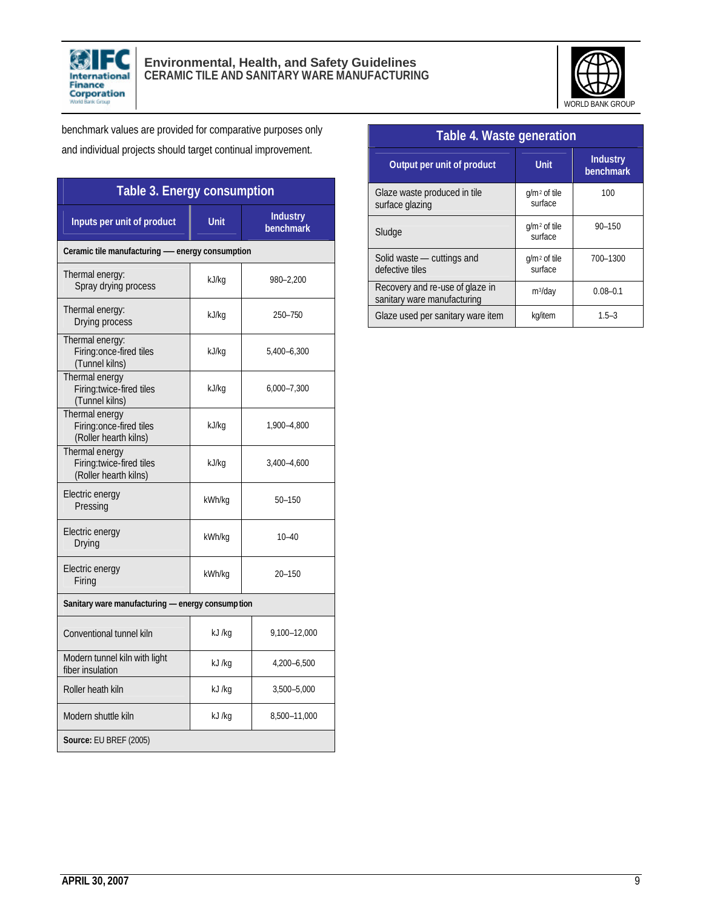



benchmark values are provided for comparative purposes only and individual projects should target continual improvement.

| Table 3. Energy consumption                                         |                        |                              |  |  |  |
|---------------------------------------------------------------------|------------------------|------------------------------|--|--|--|
| Inputs per unit of product                                          | <b>Unit</b>            | <b>Industry</b><br>benchmark |  |  |  |
| Ceramic tile manufacturing - energy consumption                     |                        |                              |  |  |  |
| Thermal energy:<br>Spray drying process                             | kJ/kg                  | 980-2,200                    |  |  |  |
| Thermal energy:<br>Drying process                                   | kJ/kg                  | 250-750                      |  |  |  |
| Thermal energy:<br>Firing:once-fired tiles<br>(Tunnel kilns)        | kJ/kg                  | 5,400-6,300                  |  |  |  |
| Thermal energy<br>Firing:twice-fired tiles<br>(Tunnel kilns)        | kJ/kg                  | 6,000-7,300                  |  |  |  |
| Thermal energy<br>Firing:once-fired tiles<br>(Roller hearth kilns)  | kJ/kg                  | 1,900-4,800                  |  |  |  |
| Thermal energy<br>Firing:twice-fired tiles<br>(Roller hearth kilns) | kJ/kg                  | 3,400-4,600                  |  |  |  |
| Electric energy<br>Pressing                                         | kWh/kg                 | $50 - 150$                   |  |  |  |
| Electric energy<br>Drying                                           | kWh/kg                 | $10 - 40$                    |  |  |  |
| Electric energy<br>Firing                                           | kWh/kg                 | $20 - 150$                   |  |  |  |
| Sanitary ware manufacturing - energy consumption                    |                        |                              |  |  |  |
| Conventional tunnel kiln                                            | kJ /kg                 | 9,100-12,000                 |  |  |  |
| Modern tunnel kiln with light<br>fiber insulation                   | kJ /kg                 | 4,200-6,500                  |  |  |  |
| Roller heath kiln                                                   | kJ /kg                 | 3,500-5,000                  |  |  |  |
| Modern shuttle kiln                                                 | kJ /kg<br>8,500-11,000 |                              |  |  |  |
| Source: EU BREF (2005)                                              |                        |                              |  |  |  |

| Table 4. Waste generation                                      |                           |                              |  |  |
|----------------------------------------------------------------|---------------------------|------------------------------|--|--|
| Output per unit of product                                     | <b>Unit</b>               | <b>Industry</b><br>benchmark |  |  |
| Glaze waste produced in tile<br>surface glazing                | $q/m2$ of tile<br>surface | 100                          |  |  |
| Sludge                                                         | $q/m2$ of tile<br>surface | $90 - 150$                   |  |  |
| Solid waste – cuttings and<br>defective tiles                  | $q/m2$ of tile<br>surface | 700-1300                     |  |  |
| Recovery and re-use of glaze in<br>sanitary ware manufacturing | $m^3$ /day                | $0.08 - 0.1$                 |  |  |
| Glaze used per sanitary ware item                              | kg/item                   | $1.5 - 3$                    |  |  |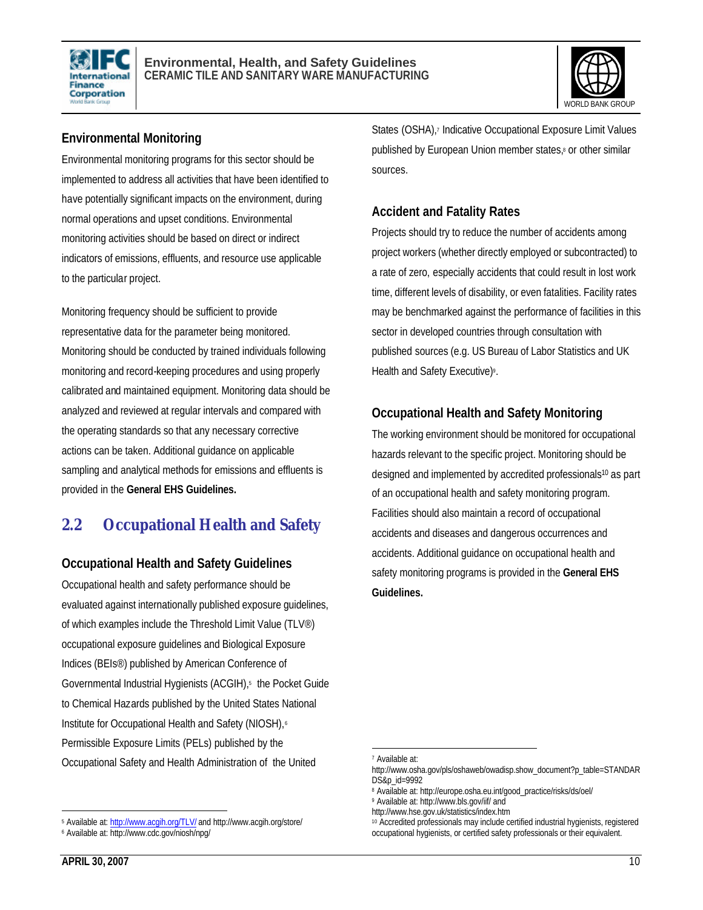



#### **Environmental Monitoring**

Environmental monitoring programs for this sector should be implemented to address all activities that have been identified to have potentially significant impacts on the environment, during normal operations and upset conditions. Environmental monitoring activities should be based on direct or indirect indicators of emissions, effluents, and resource use applicable to the particular project.

Monitoring frequency should be sufficient to provide representative data for the parameter being monitored. Monitoring should be conducted by trained individuals following monitoring and record-keeping procedures and using properly calibrated and maintained equipment. Monitoring data should be analyzed and reviewed at regular intervals and compared with the operating standards so that any necessary corrective actions can be taken. Additional guidance on applicable sampling and analytical methods for emissions and effluents is provided in the **General EHS Guidelines.**

## **2.2 Occupational Health and Safety**

#### **Occupational Health and Safety Guidelines**

Occupational health and safety performance should be evaluated against internationally published exposure guidelines, of which examples include the Threshold Limit Value (TLV®) occupational exposure guidelines and Biological Exposure Indices (BEIs®) published by American Conference of Governmental Industrial Hygienists (ACGIH),<sup>5</sup> the Pocket Guide to Chemical Hazards published by the United States National Institute for Occupational Health and Safety (NIOSH),<sup>6</sup> Permissible Exposure Limits (PELs) published by the Occupational Safety and Health Administration of the United

States (OSHA),7 Indicative Occupational Exposure Limit Values published by European Union member states,<sup>8</sup> or other similar sources.

#### **Accident and Fatality Rates**

Projects should try to reduce the number of accidents among project workers (whether directly employed or subcontracted) to a rate of zero, especially accidents that could result in lost work time, different levels of disability, or even fatalities. Facility rates may be benchmarked against the performance of facilities in this sector in developed countries through consultation with published sources (e.g. US Bureau of Labor Statistics and UK Health and Safety Executive)<sup>9</sup>.

#### **Occupational Health and Safety Monitoring**

The working environment should be monitored for occupational hazards relevant to the specific project. Monitoring should be designed and implemented by accredited professionals<sup>10</sup> as part of an occupational health and safety monitoring program. Facilities should also maintain a record of occupational accidents and diseases and dangerous occurrences and accidents. Additional guidance on occupational health and safety monitoring programs is provided in the **General EHS Guidelines.**

 $\overline{a}$ 

 $\overline{a}$ <sup>5</sup> Available at: http://www.acqih.org/TLV/ and http://www.acgih.org/store/

<sup>6</sup> Available at: http://www.cdc.gov/niosh/npg/

<sup>7</sup> Available at:

http://www.osha.gov/pls/oshaweb/owadisp.show\_document?p\_table=STANDAR DS&p\_id=9992

<sup>8</sup> Available at: http://europe.osha.eu.int/good\_practice/risks/ds/oel/

<sup>9</sup> Available at: http://www.bls.gov/iif/ and

http://www.hse.gov.uk/statistics/index.htm

<sup>&</sup>lt;sup>10</sup> Accredited professionals may include certified industrial hygienists, registered occupational hygienists, or certified safety professionals or their equivalent.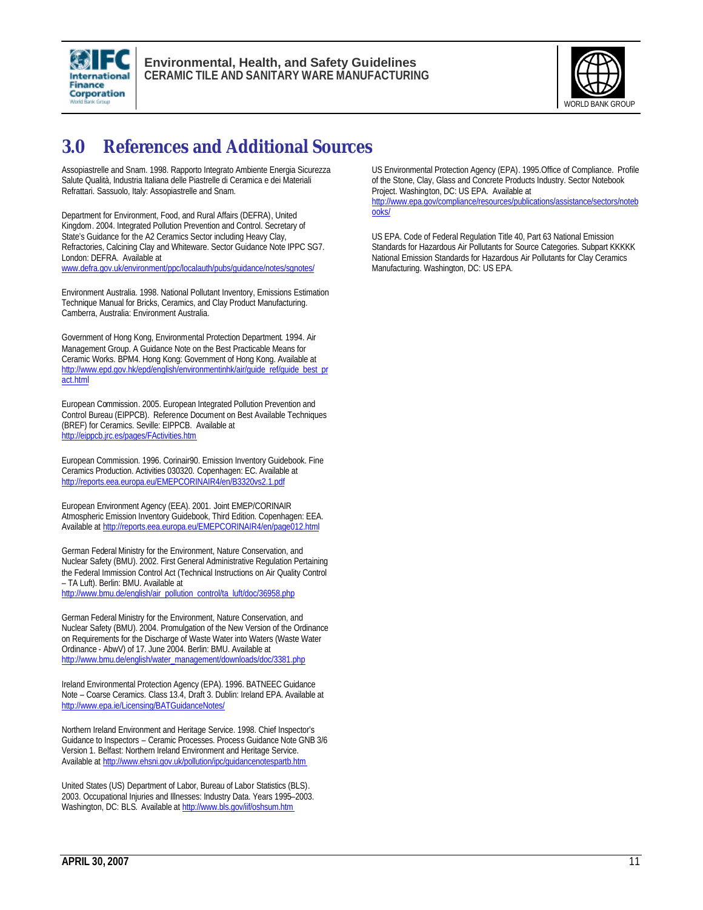



## **3.0 References and Additional Sources**

Assopiastrelle and Snam. 1998. Rapporto Integrato Ambiente Energia Sicurezza Salute Qualità, Industria Italiana delle Piastrelle di Ceramica e dei Materiali Refrattari. Sassuolo, Italy: Assopiastrelle and Snam.

Department for Environment, Food, and Rural Affairs (DEFRA), United Kingdom. 2004. Integrated Pollution Prevention and Control. Secretary of State's Guidance for the A2 Ceramics Sector including Heavy Clay, Refractories, Calcining Clay and Whiteware. Sector Guidance Note IPPC SG7. London: DEFRA. Available at www.defra.gov.uk/environment/ppc/localauth/pubs/guidance/notes/sgnotes/

Environment Australia. 1998. National Pollutant Inventory, Emissions Estimation Technique Manual for Bricks, Ceramics, and Clay Product Manufacturing. Camberra, Australia: Environment Australia.

Government of Hong Kong, Environmental Protection Department. 1994. Air Management Group. A Guidance Note on the Best Practicable Means for Ceramic Works. BPM4. Hong Kong: Government of Hong Kong. Available at http://www.epd.gov.hk/epd/english/environmentinhk/air/quide\_ref/guide\_best\_pr act.html

European Commission. 2005. European Integrated Pollution Prevention and Control Bureau (EIPPCB). Reference Document on Best Available Techniques (BREF) for Ceramics. Seville: EIPPCB. Available at http://eippcb.jrc.es/pages/FActivities.htm

European Commission. 1996. Corinair90. Emission Inventory Guidebook. Fine Ceramics Production. Activities 030320. Copenhagen: EC. Available at http://reports.eea.europa.eu/EMEPCORINAIR4/en/B3320vs2.1.pdf

European Environment Agency (EEA). 2001. Joint EMEP/CORINAIR Atmospheric Emission Inventory Guidebook, Third Edition. Copenhagen: EEA. Available at http://reports.eea.europa.eu/EMEPCORINAIR4/en/page012.html

German Federal Ministry for the Environment, Nature Conservation, and Nuclear Safety (BMU). 2002. First General Administrative Regulation Pertaining the Federal Immission Control Act (Technical Instructions on Air Quality Control – TA Luft). Berlin: BMU. Available at http://www.bmu.de/english/air\_pollution\_control/ta\_luft/doc/36958.php

German Federal Ministry for the Environment, Nature Conservation, and Nuclear Safety (BMU). 2004. Promulgation of the New Version of the Ordinance on Requirements for the Discharge of Waste Water into Waters (Waste Water Ordinance - AbwV) of 17. June 2004. Berlin: BMU. Available at http://www.bmu.de/english/water\_management/downloads/doc/3381.php

Ireland Environmental Protection Agency (EPA). 1996. BATNEEC Guidance Note – Coarse Ceramics. Class 13.4, Draft 3. Dublin: Ireland EPA. Available at http://www.epa.ie/Licensing/BATGuidanceNotes/

Northern Ireland Environment and Heritage Service. 1998. Chief Inspector's Guidance to Inspectors – Ceramic Processes. Process Guidance Note GNB 3/6 Version 1. Belfast: Northern Ireland Environment and Heritage Service. Available at http://www.ehsni.gov.uk/pollution/ipc/guidancenotespartb.htm

United States (US) Department of Labor, Bureau of Labor Statistics (BLS). 2003. Occupational Injuries and Illnesses: Industry Data. Years 1995–2003. Washington, DC: BLS. Available at http://www.bls.gov/iif/oshsum.htm

US Environmental Protection Agency (EPA). 1995.Office of Compliance. Profile of the Stone, Clay, Glass and Concrete Products Industry. Sector Notebook Project. Washington, DC: US EPA. Available at

http://www.epa.gov/compliance/resources/publications/assistance/sectors/noteb ooks/

US EPA. Code of Federal Regulation Title 40, Part 63 National Emission Standards for Hazardous Air Pollutants for Source Categories. Subpart KKKKK National Emission Standards for Hazardous Air Pollutants for Clay Ceramics Manufacturing. Washington, DC: US EPA.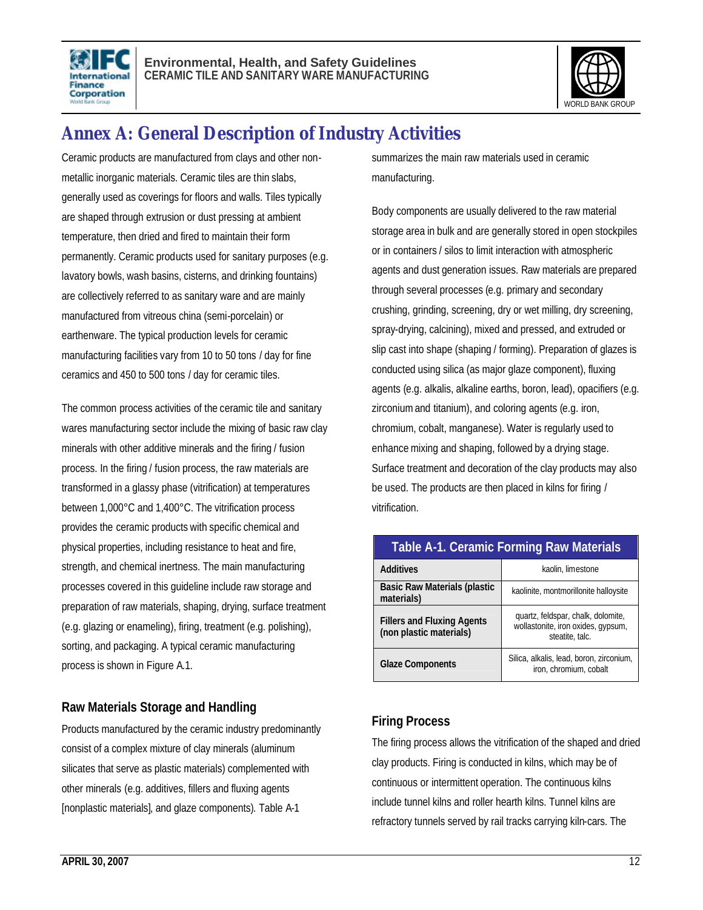



## **Annex A: General Description of Industry Activities**

Ceramic products are manufactured from clays and other nonmetallic inorganic materials. Ceramic tiles are thin slabs, generally used as coverings for floors and walls. Tiles typically are shaped through extrusion or dust pressing at ambient temperature, then dried and fired to maintain their form permanently. Ceramic products used for sanitary purposes (e.g. lavatory bowls, wash basins, cisterns, and drinking fountains) are collectively referred to as sanitary ware and are mainly manufactured from vitreous china (semi-porcelain) or earthenware. The typical production levels for ceramic manufacturing facilities vary from 10 to 50 tons / day for fine ceramics and 450 to 500 tons / day for ceramic tiles.

The common process activities of the ceramic tile and sanitary wares manufacturing sector include the mixing of basic raw clay minerals with other additive minerals and the firing / fusion process. In the firing / fusion process, the raw materials are transformed in a glassy phase (vitrification) at temperatures between 1,000°C and 1,400°C. The vitrification process provides the ceramic products with specific chemical and physical properties, including resistance to heat and fire, strength, and chemical inertness. The main manufacturing processes covered in this guideline include raw storage and preparation of raw materials, shaping, drying, surface treatment (e.g. glazing or enameling), firing, treatment (e.g. polishing), sorting, and packaging. A typical ceramic manufacturing process is shown in Figure A.1.

#### **Raw Materials Storage and Handling**

Products manufactured by the ceramic industry predominantly consist of a complex mixture of clay minerals (aluminum silicates that serve as plastic materials) complemented with other minerals (e.g. additives, fillers and fluxing agents [nonplastic materials], and glaze components). Table A-1

summarizes the main raw materials used in ceramic manufacturing.

Body components are usually delivered to the raw material storage area in bulk and are generally stored in open stockpiles or in containers / silos to limit interaction with atmospheric agents and dust generation issues. Raw materials are prepared through several processes (e.g. primary and secondary crushing, grinding, screening, dry or wet milling, dry screening, spray-drying, calcining), mixed and pressed, and extruded or slip cast into shape (shaping / forming). Preparation of glazes is conducted using silica (as major glaze component), fluxing agents (e.g. alkalis, alkaline earths, boron, lead), opacifiers (e.g. zirconium and titanium), and coloring agents (e.g. iron, chromium, cobalt, manganese). Water is regularly used to enhance mixing and shaping, followed by a drying stage. Surface treatment and decoration of the clay products may also be used. The products are then placed in kilns for firing / vitrification.

| <b>Table A-1. Ceramic Forming Raw Materials</b>              |                                                                                             |  |
|--------------------------------------------------------------|---------------------------------------------------------------------------------------------|--|
| <b>Additives</b>                                             | kaolin, limestone                                                                           |  |
| <b>Basic Raw Materials (plastic</b><br>materials)            | kaolinite, montmorillonite halloysite                                                       |  |
| <b>Fillers and Fluxing Agents</b><br>(non plastic materials) | quartz, feldspar, chalk, dolomite,<br>wollastonite, iron oxides, gypsum,<br>steatite, talc. |  |
| <b>Glaze Components</b>                                      | Silica, alkalis, lead, boron, zirconium,<br>iron, chromium, cobalt                          |  |

#### **Firing Process**

The firing process allows the vitrification of the shaped and dried clay products. Firing is conducted in kilns, which may be of continuous or intermittent operation. The continuous kilns include tunnel kilns and roller hearth kilns. Tunnel kilns are refractory tunnels served by rail tracks carrying kiln-cars. The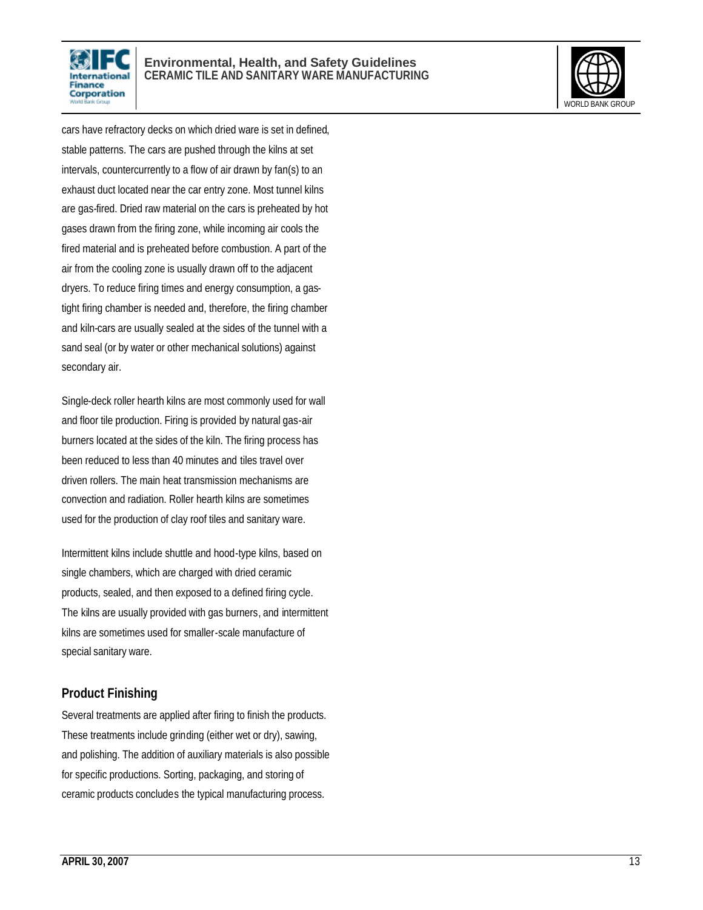

#### **Environmental, Health, and Safety Guidelines CERAMIC TILE AND SANITARY WARE MANUFACTURING**



cars have refractory decks on which dried ware is set in defined, stable patterns. The cars are pushed through the kilns at set intervals, countercurrently to a flow of air drawn by fan(s) to an exhaust duct located near the car entry zone. Most tunnel kilns are gas-fired. Dried raw material on the cars is preheated by hot gases drawn from the firing zone, while incoming air cools the fired material and is preheated before combustion. A part of the air from the cooling zone is usually drawn off to the adjacent dryers. To reduce firing times and energy consumption, a gastight firing chamber is needed and, therefore, the firing chamber and kiln-cars are usually sealed at the sides of the tunnel with a sand seal (or by water or other mechanical solutions) against secondary air.

Single-deck roller hearth kilns are most commonly used for wall and floor tile production. Firing is provided by natural gas-air burners located at the sides of the kiln. The firing process has been reduced to less than 40 minutes and tiles travel over driven rollers. The main heat transmission mechanisms are convection and radiation. Roller hearth kilns are sometimes used for the production of clay roof tiles and sanitary ware.

Intermittent kilns include shuttle and hood-type kilns, based on single chambers, which are charged with dried ceramic products, sealed, and then exposed to a defined firing cycle. The kilns are usually provided with gas burners, and intermittent kilns are sometimes used for smaller-scale manufacture of special sanitary ware.

#### **Product Finishing**

Several treatments are applied after firing to finish the products. These treatments include grinding (either wet or dry), sawing, and polishing. The addition of auxiliary materials is also possible for specific productions. Sorting, packaging, and storing of ceramic products concludes the typical manufacturing process.